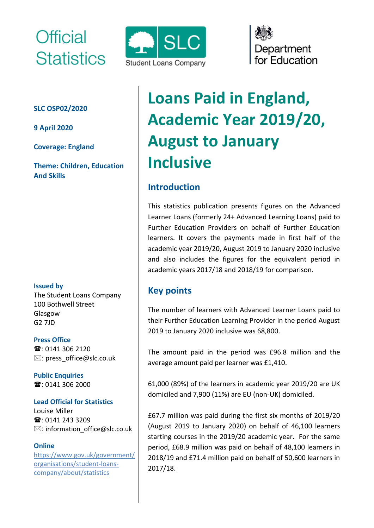# Official **Statistics**

#### **SLC OSP02/2020**

**9 April 2020**

**Coverage: England** 

**Theme: Children, Education And Skills**

#### **Issued by**

The Student Loans Company 100 Bothwell Street Glasgow G2 7JD

**Press Office** ■: 0141 306 2120  $\boxtimes$ : [press\\_office@slc.co.uk](mailto:press_office@slc.co.uk)

**Public Enquiries 雪**: 0141 306 2000

#### **Lead Official for Statistics**

Louise Miller **雪**: 0141 243 3209  $\boxtimes$ : information\_office@slc.co.uk

#### **Online**

[https://www.gov.uk/government/](https://www.gov.uk/government/organisations/student-loans-company/about/statistics) [organisations/student-loans](https://www.gov.uk/government/organisations/student-loans-company/about/statistics)[company/about/statistics](https://www.gov.uk/government/organisations/student-loans-company/about/statistics)



# Department for Education

# **Loans Paid in England, Academic Year 2019/20, August to January Inclusive**

# **Introduction**

This statistics publication presents figures on the Advanced Learner Loans (formerly 24+ Advanced Learning Loans) paid to Further Education Providers on behalf of Further Education learners. It covers the payments made in first half of the academic year 2019/20, August 2019 to January 2020 inclusive and also includes the figures for the equivalent period in academic years 2017/18 and 2018/19 for comparison.

## **Key points**

The number of learners with Advanced Learner Loans paid to their Further Education Learning Provider in the period August 2019 to January 2020 inclusive was 68,800.

The amount paid in the period was £96.8 million and the average amount paid per learner was £1,410.

61,000 (89%) of the learners in academic year 2019/20 are UK domiciled and 7,900 (11%) are EU (non-UK) domiciled.

£67.7 million was paid during the first six months of 2019/20 (August 2019 to January 2020) on behalf of 46,100 learners starting courses in the 2019/20 academic year. For the same period, £68.9 million was paid on behalf of 48,100 learners in 2018/19 and £71.4 million paid on behalf of 50,600 learners in 2017/18.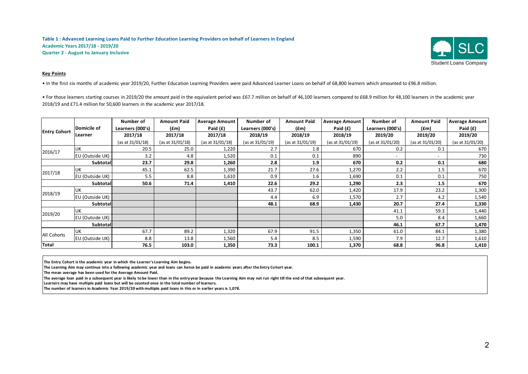

#### **Key Points**

• In the first six months of academic year 2019/20, Further Education Learning Providers were paid Advanced Learner Loans on behalf of 68,800 learners which amounted to £96.8 million.

• For those learners starting courses in 2019/20 the amount paid in the equivalent period was £67.7 million on behalf of 46.100 learners compared to £68.9 million for 48.100 learners in the academic year 2018/19 and £71.4 million for 50,600 learners in the academic year 2017/18.

| <b>Entry Cohort</b> | Domicile of     | Number of<br>Learners (000's) | <b>Amount Paid</b><br>(£m) | <b>Average Amount</b><br>Paid $(f)$ | Number of<br>Learners (000's) | <b>Amount Paid</b><br>(£m) | <b>Average Amount</b><br>Paid $(f)$ | Number of<br>Learners (000's) | <b>Amount Paid</b><br>(fm) | <b>Average Amount</b><br>Paid $(f)$ |
|---------------------|-----------------|-------------------------------|----------------------------|-------------------------------------|-------------------------------|----------------------------|-------------------------------------|-------------------------------|----------------------------|-------------------------------------|
|                     | Learner         | 2017/18                       | 2017/18                    | 2017/18                             | 2018/19                       | 2018/19                    | 2018/19                             | 2019/20                       | 2019/20                    | 2019/20                             |
|                     |                 | (as at 31/01/18)              | (as at 31/01/18)           | (as at 31/01/18)                    | (as at 31/01/19)              | (as at 31/01/19)           | (as at 31/01/19)                    | (as at 31/01/20)              | (as at 31/01/20)           | (as at 31/01/20)                    |
| 2016/17             | UK              | 20.5                          | 25.0                       | 1,220                               | 2.7                           | 1.8                        | 670                                 | 0.2                           | 0.1                        | 670                                 |
|                     | EU (Outside UK) | 3.2                           | 4.8                        | 1,520                               | 0.1                           | 0.1                        | 890                                 | $\overline{\phantom{a}}$      | $\overline{\phantom{a}}$   | 730                                 |
| Subtotal            |                 | 23.7                          | 29.8                       | 1,260                               | 2.8                           | 1.9                        | 670                                 | 0.2                           | 0.1                        | 680                                 |
| 2017/18             | <b>UK</b>       | 45.1                          | 62.5                       | 1,390                               | 21.7                          | 27.6                       | 1,270                               | 2.2                           | 1.5                        | 670                                 |
|                     | EU (Outside UK) | 5.5                           | 8.8                        | 1,610                               | 0.9                           | 1.6                        | 1,690                               | 0.1                           | 0.1                        | 750                                 |
| <b>Subtotal</b>     |                 | 50.6                          | 71.4                       | 1,410                               | 22.6                          | 29.2                       | 1,290                               | 2.3                           | 1.5                        | 670                                 |
| 2018/19             | <b>UK</b>       |                               |                            |                                     | 43.7                          | 62.0                       | 1,420                               | 17.9                          | 23.2                       | 1,300                               |
|                     | EU (Outside UK) |                               |                            |                                     | 4.4                           | 6.9                        | 1,570                               | 2.7                           | 4.2                        | 1,540                               |
| <b>Subtotal</b>     |                 |                               |                            |                                     | 48.1                          | 68.9                       | 1,430                               | 20.7                          | 27.4                       | 1,330                               |
| 2019/20             | UK              |                               |                            |                                     |                               |                            |                                     | 41.1                          | 59.3                       | 1,440                               |
|                     | EU (Outside UK) |                               |                            |                                     |                               |                            |                                     | 5.0                           | 8.4                        | 1,660                               |
| <b>Subtotal</b>     |                 |                               |                            |                                     |                               |                            |                                     | 46.1                          | 67.7                       | 1,470                               |
| All Cohorts         | <b>UK</b>       | 67.7                          | 89.2                       | 1,320                               | 67.9                          | 91.5                       | 1,350                               | 61.0                          | 84.1                       | 1,380                               |
|                     | EU (Outside UK) | 8.8                           | 13.8                       | 1,560                               | 5.4                           | 8.5                        | 1,590                               | 7.9                           | 12.7                       | 1,610                               |
| Total               |                 | 76.5                          | 103.0                      | 1,350                               | 73.3                          | 100.1                      | 1,370                               | 68.8                          | 96.8                       | 1,410                               |

**The Entry Cohort is the academic year in which the Learner's Learning Aim begins.** 

**The Learning Aim may continue into a following academic year and loans can hence be paid in academic years after the Entry Cohort year.** 

**The mean average has been used for the Average Amount Paid.**

**The average loan paid in a subsequent year is likely to be lower than in the entry year because the Learning Aim may not run right till the end of that subsequent year.** 

**Learners may have multiple paid loans but will be counted once in the total number of learners.** 

**The number of learners in Academic Year 2019/20 with multiple paid loans in this or in earlier years is 1,078.**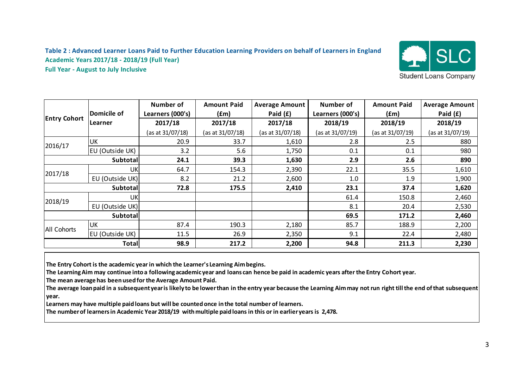#### **Table 2 : Advanced Learner Loans Paid to Further Education Learning Providers on behalf of Learners in England Academic Years 2017/18 - 2018/19 (Full Year) Full Year - August to July Inclusive**



|                     | Domicile of     | Number of<br>Learners (000's) | <b>Amount Paid</b><br>(fm) | <b>Average Amount</b><br>Paid $(f)$ | Number of<br>Learners (000's) | <b>Amount Paid</b><br>(fm) | <b>Average Amount</b><br>Paid $(f)$ |
|---------------------|-----------------|-------------------------------|----------------------------|-------------------------------------|-------------------------------|----------------------------|-------------------------------------|
| <b>Entry Cohort</b> | Learner         | 2017/18                       | 2017/18                    | 2017/18                             | 2018/19                       | 2018/19                    | 2018/19                             |
|                     |                 | (as at 31/07/18)              | (as at 31/07/18)           | (as at 31/07/18)                    | (as at 31/07/19)              | (as at 31/07/19)           | (as at 31/07/19)                    |
| 2016/17             | <b>UK</b>       | 20.9                          | 33.7                       | 1,610                               | 2.8                           | 2.5                        | 880                                 |
|                     | EU (Outside UK) | 3.2                           | 5.6                        | 1,750                               | 0.1                           | 0.1                        | 980                                 |
| <b>Subtotal</b>     |                 | 24.1                          | 39.3                       | 1,630                               | 2.9                           | 2.6                        | 890                                 |
| 2017/18             | UK              | 64.7                          | 154.3                      | 2,390                               | 22.1                          | 35.5                       | 1,610                               |
|                     | EU (Outside UK) | 8.2                           | 21.2                       | 2,600                               | 1.0                           | 1.9                        | 1,900                               |
|                     | <b>Subtotal</b> | 72.8                          | 175.5                      | 2,410                               | 23.1                          | 37.4                       | 1,620                               |
| 2018/19             | UK              |                               |                            |                                     | 61.4                          | 150.8                      | 2,460                               |
|                     | EU (Outside UK) |                               |                            |                                     | 8.1                           | 20.4                       | 2,530                               |
|                     | Subtotal        |                               |                            |                                     | 69.5                          | 171.2                      | 2,460                               |
| All Cohorts         | UK              | 87.4                          | 190.3                      | 2,180                               | 85.7                          | 188.9                      | 2,200                               |
|                     | EU (Outside UK) | 11.5                          | 26.9                       | 2,350                               | 9.1                           | 22.4                       | 2,480                               |
| <b>Total</b>        |                 | 98.9                          | 217.2                      | 2,200                               | 94.8                          | 211.3                      | 2,230                               |

**The Entry Cohort is the academic year in which the Learner's Learning Aim begins.** 

**The Learning Aim may continue into a following academic year and loans can hence be paid in academic years after the Entry Cohort year.** 

**The mean average has been used for the Average Amount Paid.**

**The average loan paid in a subsequent year is likely to be lower than in the entry year because the Learning Aim may not run right till the end of that subsequent year.** 

**Learners may have multiple paid loans but will be counted once in the total number of learners.** 

**The number of learners in Academic Year 2018/19 with multiple paid loans in this or in earlier years is 2,478.**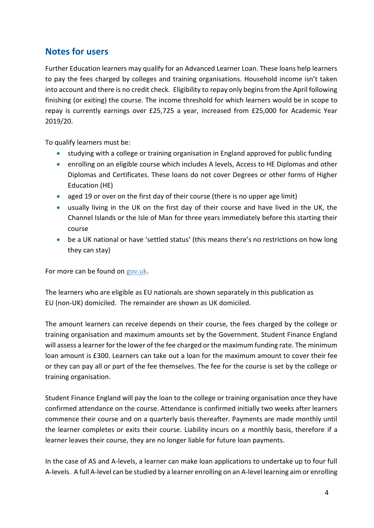### **Notes for users**

Further Education learners may qualify for an Advanced Learner Loan. These loans help learners to pay the fees charged by colleges and training organisations. Household income isn't taken into account and there is no credit check. Eligibility to repay only begins from the April following finishing (or exiting) the course. The income threshold for which learners would be in scope to repay is currently earnings over £25,725 a year, increased from £25,000 for Academic Year 2019/20.

To qualify learners must be:

- studying with a college or training organisation in England approved for public funding
- enrolling on an eligible course which includes A levels, Access to HE Diplomas and other Diplomas and Certificates. These loans do not cover Degrees or other forms of Higher Education (HE)
- aged 19 or over on the first day of their course (there is no upper age limit)
- usually living in the UK on the first day of their course and have lived in the UK, the Channel Islands or the Isle of Man for three years immediately before this starting their course
- be a UK national or have 'settled status' (this means there's no restrictions on how long they can stay)

For more can be found on [gov.uk.](https://www.gov.uk/advanced-learning-loans/eligibility)

The learners who are eligible as EU nationals are shown separately in this publication as EU (non-UK) domiciled. The remainder are shown as UK domiciled.

The amount learners can receive depends on their course, the fees charged by the college or training organisation and maximum amounts set by the Government. Student Finance England will assess a learner for the lower of the fee charged or the maximum funding rate. The minimum loan amount is £300. Learners can take out a loan for the maximum amount to cover their fee or they can pay all or part of the fee themselves. The fee for the course is set by the college or training organisation.

Student Finance England will pay the loan to the college or training organisation once they have confirmed attendance on the course. Attendance is confirmed initially two weeks after learners commence their course and on a quarterly basis thereafter. Payments are made monthly until the learner completes or exits their course. Liability incurs on a monthly basis, therefore if a learner leaves their course, they are no longer liable for future loan payments.

In the case of AS and A-levels, a learner can make loan applications to undertake up to four full A-levels. A full A-level can be studied by a learner enrolling on an A-level learning aim or enrolling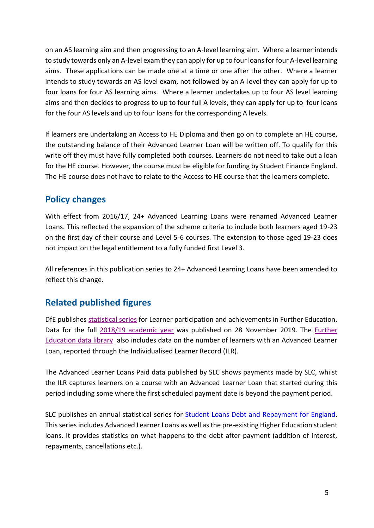on an AS learning aim and then progressing to an A-level learning aim. Where a learner intends to study towards only an A-level exam they can apply for up to four loans for four A-level learning aims. These applications can be made one at a time or one after the other. Where a learner intends to study towards an AS level exam, not followed by an A-level they can apply for up to four loans for four AS learning aims. Where a learner undertakes up to four AS level learning aims and then decides to progress to up to four full A levels, they can apply for up to four loans for the four AS levels and up to four loans for the corresponding A levels.

If learners are undertaking an Access to HE Diploma and then go on to complete an HE course, the outstanding balance of their Advanced Learner Loan will be written off. To qualify for this write off they must have fully completed both courses. Learners do not need to take out a loan for the HE course. However, the course must be eligible for funding by Student Finance England. The HE course does not have to relate to the Access to HE course that the learners complete.

## **Policy changes**

With effect from 2016/17, 24+ Advanced Learning Loans were renamed Advanced Learner Loans. This reflected the expansion of the scheme criteria to include both learners aged 19-23 on the first day of their course and Level 5-6 courses. The extension to those aged 19-23 does not impact on the legal entitlement to a fully funded first Level 3.

All references in this publication series to 24+ Advanced Learning Loans have been amended to reflect this change.

# **Related published figures**

DfE publishes [statistical series](https://www.gov.uk/government/collections/further-education-and-skills-statistical-first-release-sfr) for Learner participation and achievements in Further Education. Data for the full [2018/19 academic year](https://www.gov.uk/government/statistics/announcements/further-education-and-skills-november-2019) was published on 28 November 2019. The Further [Education data library](https://www.gov.uk/government/statistical-data-sets/fe-data-library-further-education-and-skills) also includes data on the number of learners with an Advanced Learner Loan, reported through the Individualised Learner Record (ILR).

The Advanced Learner Loans Paid data published by SLC shows payments made by SLC, whilst the ILR captures learners on a course with an Advanced Learner Loan that started during this period including some where the first scheduled payment date is beyond the payment period.

SLC publishes an annual statistical series for **Student Loans Debt and Repayment for England**. This series includes Advanced Learner Loans as well as the pre-existing Higher Education student loans. It provides statistics on what happens to the debt after payment (addition of interest, repayments, cancellations etc.).